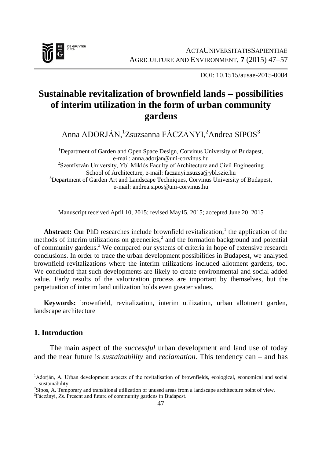

DOI: 10.1515/ausae-2015-0004

# **Sustainable revitalization of brownfield lands possibilities of interim utilization in the form of urban community gardens**

Anna ADORJÁN,<sup>1</sup>Zsuzsanna FÁCZÁNYI,<sup>2</sup>Andrea SIPOS<sup>3</sup>

<sup>1</sup>Department of Garden and Open Space Design, Corvinus University of Budapest, e-mail: anna.adorjan@uni-corvinus.hu <sup>2</sup>SzentIstván University, Ybl Miklós Faculty of Architecture and Civil Engineering School of Architecture, e-mail: faczanyi.zsuzsa@ybl.szie.hu <sup>3</sup>Department of Garden Art and Landscape Techniques, Corvinus University of Budapest, e-mail: andrea.sipos@uni-corvinus.hu

Manuscript received April 10, 2015; revised May15, 2015; accepted June 20, 2015

Abstract: Our PhD researches include brownfield revitalization,<sup>1</sup> the application of the methods of interim utilizations on greeneries, 2 and the formation background and potential of community gardens. <sup>3</sup> We compared our systems of criteria in hope of extensive research conclusions. In order to trace the urban development possibilities in Budapest, we analysed brownfield revitalizations where the interim utilizations included allotment gardens, too. We concluded that such developments are likely to create environmental and social added value. Early results of the valorization process are important by themselves, but the perpetuation of interim land utilization holds even greater values.

**Keywords:** brownfield, revitalization, interim utilization, urban allotment garden, landscape architecture

## **1. Introduction**

The main aspect of the *successful* urban development and land use of today and the near future is *sustainability* and *reclamation*. This tendency can – and has

 $\overline{a}$ <sup>1</sup>Adorján, A. Urban development aspects of the revitalisation of brownfields, ecological, economical and social sustainability

<sup>2</sup> Sipos, A. Temporary and transitional utilization of unused areas from a landscape architecture point of view.

<sup>&</sup>lt;sup>3</sup>Fáczányi, Zs. Present and future of community gardens in Budapest.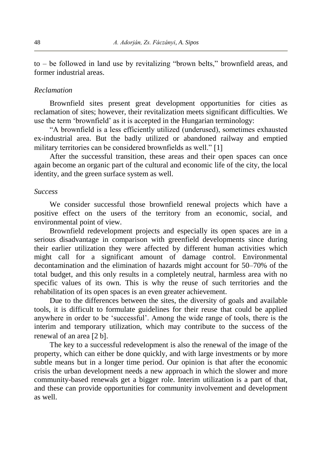to – be followed in land use by revitalizing "brown belts," brownfield areas, and former industrial areas.

### *Reclamation*

Brownfield sites present great development opportunities for cities as reclamation of sites; however, their revitalization meets significant difficulties. We use the term "brownfield" as it is accepted in the Hungarian terminology:

"A brownfield is a less efficiently utilized (underused), sometimes exhausted ex-industrial area. But the badly utilized or abandoned railway and emptied military territories can be considered brownfields as well." [1]

After the successful transition, these areas and their open spaces can once again become an organic part of the cultural and economic life of the city, the local identity, and the green surface system as well.

### *Success*

We consider successful those brownfield renewal projects which have a positive effect on the users of the territory from an economic, social, and environmental point of view.

Brownfield redevelopment projects and especially its open spaces are in a serious disadvantage in comparison with greenfield developments since during their earlier utilization they were affected by different human activities which might call for a significant amount of damage control. Environmental decontamination and the elimination of hazards might account for 50–70% of the total budget, and this only results in a completely neutral, harmless area with no specific values of its own. This is why the reuse of such territories and the rehabilitation of its open spaces is an even greater achievement.

Due to the differences between the sites, the diversity of goals and available tools, it is difficult to formulate guidelines for their reuse that could be applied anywhere in order to be "successful". Among the wide range of tools, there is the interim and temporary utilization, which may contribute to the success of the renewal of an area [2 b].

The key to a successful redevelopment is also the renewal of the image of the property, which can either be done quickly, and with large investments or by more subtle means but in a longer time period. Our opinion is that after the economic crisis the urban development needs a new approach in which the slower and more community-based renewals get a bigger role. Interim utilization is a part of that, and these can provide opportunities for community involvement and development as well.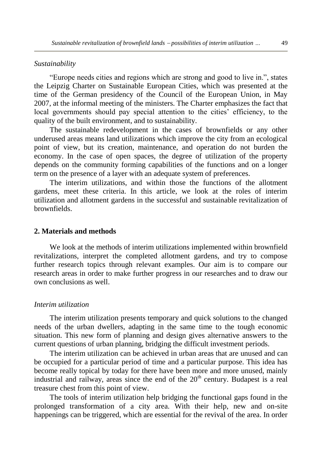### *Sustainability*

"Europe needs cities and regions which are strong and good to live in.", states the Leipzig Charter on Sustainable European Cities, which was presented at the time of the German presidency of the Council of the European Union, in May 2007, at the informal meeting of the ministers. The Charter emphasizes the fact that local governments should pay special attention to the cities' efficiency, to the quality of the built environment, and to sustainability.

The sustainable redevelopment in the cases of brownfields or any other underused areas means land utilizations which improve the city from an ecological point of view, but its creation, maintenance, and operation do not burden the economy. In the case of open spaces, the degree of utilization of the property depends on the community forming capabilities of the functions and on a longer term on the presence of a layer with an adequate system of preferences.

The interim utilizations, and within those the functions of the allotment gardens, meet these criteria. In this article, we look at the roles of interim utilization and allotment gardens in the successful and sustainable revitalization of brownfields.

### **2. Materials and methods**

We look at the methods of interim utilizations implemented within brownfield revitalizations, interpret the completed allotment gardens, and try to compose further research topics through relevant examples. Our aim is to compare our research areas in order to make further progress in our researches and to draw our own conclusions as well.

### *Interim utilization*

The interim utilization presents temporary and quick solutions to the changed needs of the urban dwellers, adapting in the same time to the tough economic situation. This new form of planning and design gives alternative answers to the current questions of urban planning, bridging the difficult investment periods.

The interim utilization can be achieved in urban areas that are unused and can be occupied for a particular period of time and a particular purpose. This idea has become really topical by today for there have been more and more unused, mainly industrial and railway, areas since the end of the  $20<sup>th</sup>$  century. Budapest is a real treasure chest from this point of view.

The tools of interim utilization help bridging the functional gaps found in the prolonged transformation of a city area. With their help, new and on-site happenings can be triggered, which are essential for the revival of the area. In order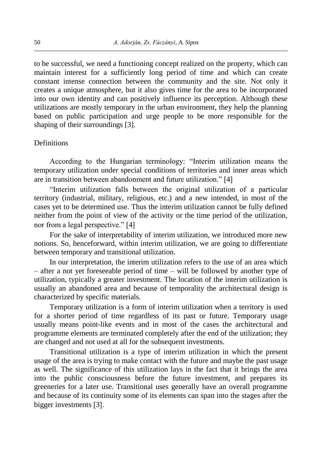to be successful, we need a functioning concept realized on the property, which can maintain interest for a sufficiently long period of time and which can create constant intense connection between the community and the site. Not only it creates a unique atmosphere, but it also gives time for the area to be incorporated into our own identity and can positively influence its perception. Although these utilizations are mostly temporary in the urban environment, they help the planning based on public participation and urge people to be more responsible for the shaping of their surroundings [3].

### **Definitions**

According to the Hungarian terminology: "Interim utilization means the temporary utilization under special conditions of territories and inner areas which are in transition between abandonment and future utilization." [4]

"Interim utilization falls between the original utilization of a particular territory (industrial, military, religious, etc.) and a new intended, in most of the cases yet to be determined use. Thus the interim utilization cannot be fully defined neither from the point of view of the activity or the time period of the utilization, nor from a legal perspective." [4]

For the sake of interpretability of interim utilization, we introduced more new notions. So, henceforward, within interim utilization, we are going to differentiate between temporary and transitional utilization.

In our interpretation, the interim utilization refers to the use of an area which – after a not yet foreseeable period of time – will be followed by another type of utilization, typically a greater investment. The location of the interim utilization is usually an abandoned area and because of temporality the architectural design is characterized by specific materials.

Temporary utilization is a form of interim utilization when a territory is used for a shorter period of time regardless of its past or future. Temporary usage usually means point-like events and in most of the cases the architectural and programme elements are terminated completely after the end of the utilization; they are changed and not used at all for the subsequent investments.

Transitional utilization is a type of interim utilization in which the present usage of the area is trying to make contact with the future and maybe the past usage as well. The significance of this utilization lays in the fact that it brings the area into the public consciousness before the future investment, and prepares its greeneries for a later use. Transitional uses generally have an overall programme and because of its continuity some of its elements can span into the stages after the bigger investments [3].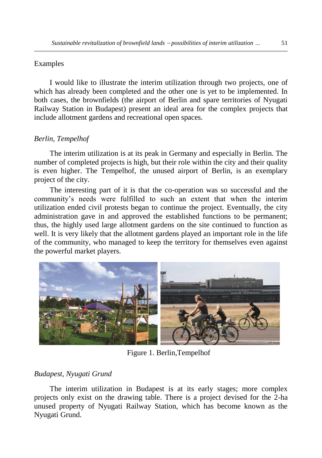## Examples

I would like to illustrate the interim utilization through two projects, one of which has already been completed and the other one is yet to be implemented. In both cases, the brownfields (the airport of Berlin and spare territories of Nyugati Railway Station in Budapest) present an ideal area for the complex projects that include allotment gardens and recreational open spaces.

## *Berlin, Tempelhof*

The interim utilization is at its peak in Germany and especially in Berlin. The number of completed projects is high, but their role within the city and their quality is even higher. The Tempelhof, the unused airport of Berlin, is an exemplary project of the city.

The interesting part of it is that the co-operation was so successful and the community"s needs were fulfilled to such an extent that when the interim utilization ended civil protests began to continue the project. Eventually, the city administration gave in and approved the established functions to be permanent; thus, the highly used large allotment gardens on the site continued to function as well. It is very likely that the allotment gardens played an important role in the life of the community, who managed to keep the territory for themselves even against the powerful market players.



Figure 1. Berlin,Tempelhof

## *Budapest, Nyugati Grund*

The interim utilization in Budapest is at its early stages; more complex projects only exist on the drawing table. There is a project devised for the 2-ha unused property of Nyugati Railway Station, which has become known as the Nyugati Grund.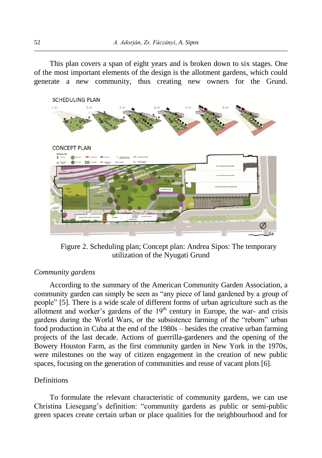This plan covers a span of eight years and is broken down to six stages. One of the most important elements of the design is the allotment gardens, which could generate a new community, thus creating new owners for the Grund.



Figure 2. Scheduling plan; Concept plan: Andrea Sipos: The temporary utilization of the Nyugati Grund

### *Community gardens*

According to the summary of the American Community Garden Association, a community garden can simply be seen as "any piece of land gardened by a group of people" [5]. There is a wide scale of different forms of urban agriculture such as the allotment and worker's gardens of the  $19<sup>th</sup>$  century in Europe, the war- and crisis gardens during the World Wars, or the subsistence farming of the "reborn" urban food production in Cuba at the end of the 1980s – besides the creative urban farming projects of the last decade. Actions of guerrilla-gardeners and the opening of the Bowery Houston Farm, as the first community garden in New York in the 1970s, were milestones on the way of citizen engagement in the creation of new public spaces, focusing on the generation of communities and reuse of vacant plots [6].

### **Definitions**

To formulate the relevant characteristic of community gardens, we can use Christina Liesegang"s definition: "community gardens as public or semi-public green spaces create certain urban or place qualities for the neighbourhood and for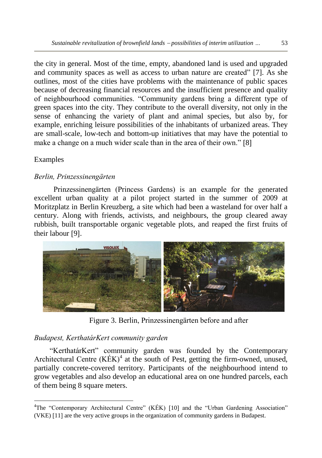the city in general. Most of the time, empty, abandoned land is used and upgraded and community spaces as well as access to urban nature are created" [7]. As she outlines, most of the cities have problems with the maintenance of public spaces because of decreasing financial resources and the insufficient presence and quality of neighbourhood communities. "Community gardens bring a different type of green spaces into the city. They contribute to the overall diversity, not only in the sense of enhancing the variety of plant and animal species, but also by, for example, enriching leisure possibilities of the inhabitants of urbanized areas. They are small-scale, low-tech and bottom-up initiatives that may have the potential to make a change on a much wider scale than in the area of their own." [8]

## Examples

 $\overline{\phantom{a}}$ 

## *Berlin, Prinzessinengärten*

Prinzessinengärten (Princess Gardens) is an example for the generated excellent urban quality at a pilot project started in the summer of 2009 at Moritzplatz in Berlin Kreuzberg, a site which had been a wasteland for over half a century. Along with friends, activists, and neighbours, the group cleared away rubbish, built transportable organic vegetable plots, and reaped the first fruits of their labour [9].



Figure 3. Berlin, Prinzessinengärten before and after

## *Budapest, KerthatárKert community garden*

"KerthatárKert" community garden was founded by the Contemporary Architectural Centre  $(KEK)^4$  at the south of Pest, getting the firm-owned, unused, partially concrete-covered territory. Participants of the neighbourhood intend to grow vegetables and also develop an educational area on one hundred parcels, each of them being 8 square meters.

<sup>&</sup>lt;sup>4</sup>The "Contemporary Architectural Centre" (KÉK) [10] and the "Urban Gardening Association" (VKE) [11] are the very active groups in the organization of community gardens in Budapest.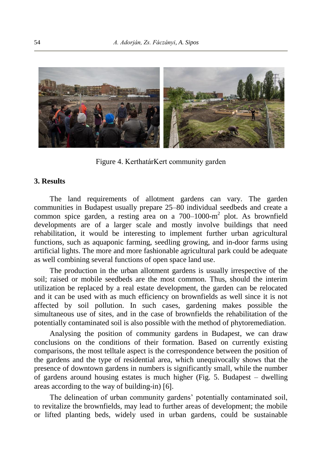

Figure 4. KerthatárKert community garden

### **3. Results**

The land requirements of allotment gardens can vary. The garden communities in Budapest usually prepare 25–80 individual seedbeds and create a common spice garden, a resting area on a 700–1000-m 2 plot. As brownfield developments are of a larger scale and mostly involve buildings that need rehabilitation, it would be interesting to implement further urban agricultural functions, such as aquaponic farming, seedling growing, and in-door farms using artificial lights. The more and more fashionable agricultural park could be adequate as well combining several functions of open space land use.

The production in the urban allotment gardens is usually irrespective of the soil; raised or mobile seedbeds are the most common. Thus, should the interim utilization be replaced by a real estate development, the garden can be relocated and it can be used with as much efficiency on brownfields as well since it is not affected by soil pollution. In such cases, gardening makes possible the simultaneous use of sites, and in the case of brownfields the rehabilitation of the potentially contaminated soil is also possible with the method of phytoremediation.

Analysing the position of community gardens in Budapest, we can draw conclusions on the conditions of their formation. Based on currently existing comparisons, the most telltale aspect is the correspondence between the position of the gardens and the type of residential area, which unequivocally shows that the presence of downtown gardens in numbers is significantly small, while the number of gardens around housing estates is much higher (Fig. 5. Budapest – dwelling areas according to the way of building-in) [6].

The delineation of urban community gardens" potentially contaminated soil, to revitalize the brownfields, may lead to further areas of development; the mobile or lifted planting beds, widely used in urban gardens, could be sustainable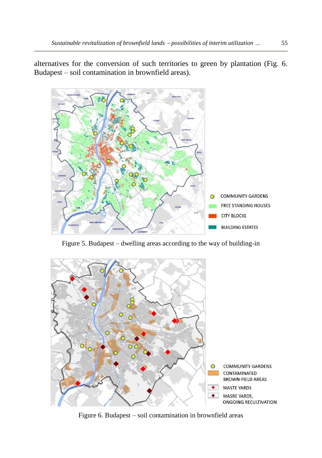alternatives for the conversion of such territories to green by plantation (Fig. 6. Budapest – soil contamination in brownfield areas).



Figure 5. Budapest – dwelling areas according to the way of building-in



Figure 6. Budapest – soil contamination in brownfield areas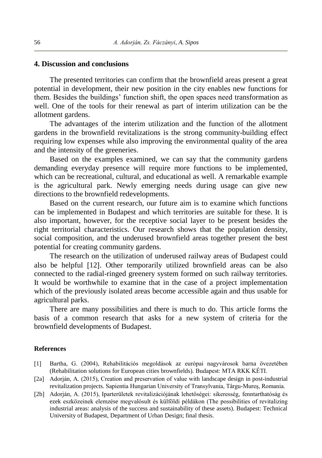### **4. Discussion and conclusions**

The presented territories can confirm that the brownfield areas present a great potential in development, their new position in the city enables new functions for them. Besides the buildings" function shift, the open spaces need transformation as well. One of the tools for their renewal as part of interim utilization can be the allotment gardens.

The advantages of the interim utilization and the function of the allotment gardens in the brownfield revitalizations is the strong community-building effect requiring low expenses while also improving the environmental quality of the area and the intensity of the greeneries.

Based on the examples examined, we can say that the community gardens demanding everyday presence will require more functions to be implemented, which can be recreational, cultural, and educational as well. A remarkable example is the agricultural park. Newly emerging needs during usage can give new directions to the brownfield redevelopments.

Based on the current research, our future aim is to examine which functions can be implemented in Budapest and which territories are suitable for these. It is also important, however, for the receptive social layer to be present besides the right territorial characteristics. Our research shows that the population density, social composition, and the underused brownfield areas together present the best potential for creating community gardens.

The research on the utilization of underused railway areas of Budapest could also be helpful [12]. Other temporarily utilized brownfield areas can be also connected to the radial-ringed greenery system formed on such railway territories. It would be worthwhile to examine that in the case of a project implementation which of the previously isolated areas become accessible again and thus usable for agricultural parks.

There are many possibilities and there is much to do. This article forms the basis of a common research that asks for a new system of criteria for the brownfield developments of Budapest.

### **References**

- 1 Bartha, G. (2004), Rehabilitációs megoldások az európai nagyvárosok barna övezetében (Rehabilitation solutions for European cities brownfields)*.* Budapest: MTA RKK KÉTI.
- [2a] Adorján, A. (2015), Creation and preservation of value with landscape design in post-industrial revitalization projects. Sapientia Hungarian University of Transylvania, Târgu-Mureş, Romania.
- 2b Adorján, A. (2015), Iparterületek revitalizációjának lehetőségei: sikeresség, fenntarthatóság és ezek eszközeinek elemzése megvalósult és külföldi példákon (The possibilities of revitalizing industrial areas: analysis of the success and sustainability of these assets). Budapest: Technical University of Budapest, Department of Urban Design; final thesis.